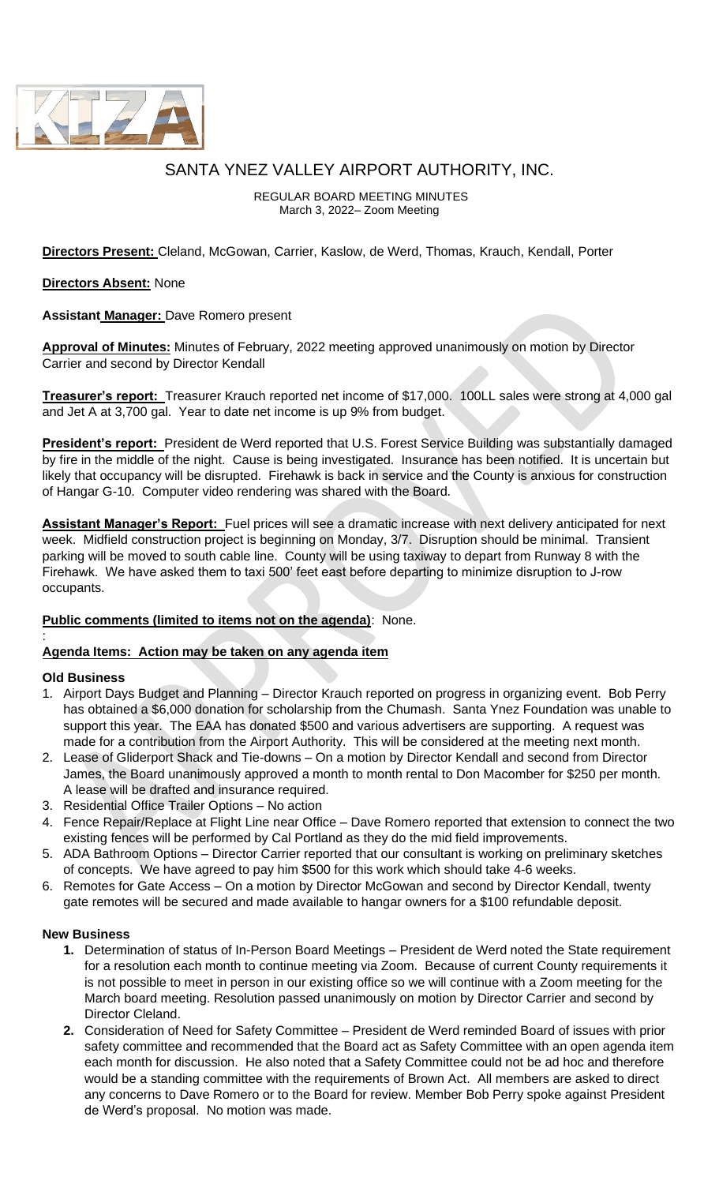

# SANTA YNEZ VALLEY AIRPORT AUTHORITY, INC.

REGULAR BOARD MEETING MINUTES March 3, 2022– Zoom Meeting

**Directors Present:** Cleland, McGowan, Carrier, Kaslow, de Werd, Thomas, Krauch, Kendall, Porter

### **Directors Absent:** None

**Assistant Manager:** Dave Romero present

**Approval of Minutes:** Minutes of February, 2022 meeting approved unanimously on motion by Director Carrier and second by Director Kendall

**Treasurer's report:** Treasurer Krauch reported net income of \$17,000. 100LL sales were strong at 4,000 gal and Jet A at 3,700 gal. Year to date net income is up 9% from budget.

**President's report:** President de Werd reported that U.S. Forest Service Building was substantially damaged by fire in the middle of the night. Cause is being investigated. Insurance has been notified. It is uncertain but likely that occupancy will be disrupted. Firehawk is back in service and the County is anxious for construction of Hangar G-10. Computer video rendering was shared with the Board.

**Assistant Manager's Report:** Fuel prices will see a dramatic increase with next delivery anticipated for next week. Midfield construction project is beginning on Monday, 3/7. Disruption should be minimal. Transient parking will be moved to south cable line. County will be using taxiway to depart from Runway 8 with the Firehawk. We have asked them to taxi 500' feet east before departing to minimize disruption to J-row occupants.

## **Public comments (limited to items not on the agenda)**: None.

## **Agenda Items: Action may be taken on any agenda item**

#### **Old Business**

:

- 1. Airport Days Budget and Planning Director Krauch reported on progress in organizing event. Bob Perry has obtained a \$6,000 donation for scholarship from the Chumash. Santa Ynez Foundation was unable to support this year. The EAA has donated \$500 and various advertisers are supporting. A request was made for a contribution from the Airport Authority. This will be considered at the meeting next month.
- 2. Lease of Gliderport Shack and Tie-downs On a motion by Director Kendall and second from Director James, the Board unanimously approved a month to month rental to Don Macomber for \$250 per month. A lease will be drafted and insurance required.
- 3. Residential Office Trailer Options No action
- 4. Fence Repair/Replace at Flight Line near Office Dave Romero reported that extension to connect the two existing fences will be performed by Cal Portland as they do the mid field improvements.
- 5. ADA Bathroom Options Director Carrier reported that our consultant is working on preliminary sketches of concepts. We have agreed to pay him \$500 for this work which should take 4-6 weeks.
- 6. Remotes for Gate Access On a motion by Director McGowan and second by Director Kendall, twenty gate remotes will be secured and made available to hangar owners for a \$100 refundable deposit.

#### **New Business**

- **1.** Determination of status of In-Person Board Meetings President de Werd noted the State requirement for a resolution each month to continue meeting via Zoom. Because of current County requirements it is not possible to meet in person in our existing office so we will continue with a Zoom meeting for the March board meeting. Resolution passed unanimously on motion by Director Carrier and second by Director Cleland.
- **2.** Consideration of Need for Safety Committee President de Werd reminded Board of issues with prior safety committee and recommended that the Board act as Safety Committee with an open agenda item each month for discussion. He also noted that a Safety Committee could not be ad hoc and therefore would be a standing committee with the requirements of Brown Act. All members are asked to direct any concerns to Dave Romero or to the Board for review. Member Bob Perry spoke against President de Werd's proposal. No motion was made.